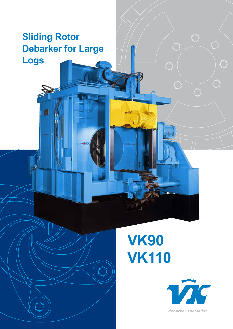# **Sliding Rotor Debarker for Large Logs**

# **VK90 VK110**